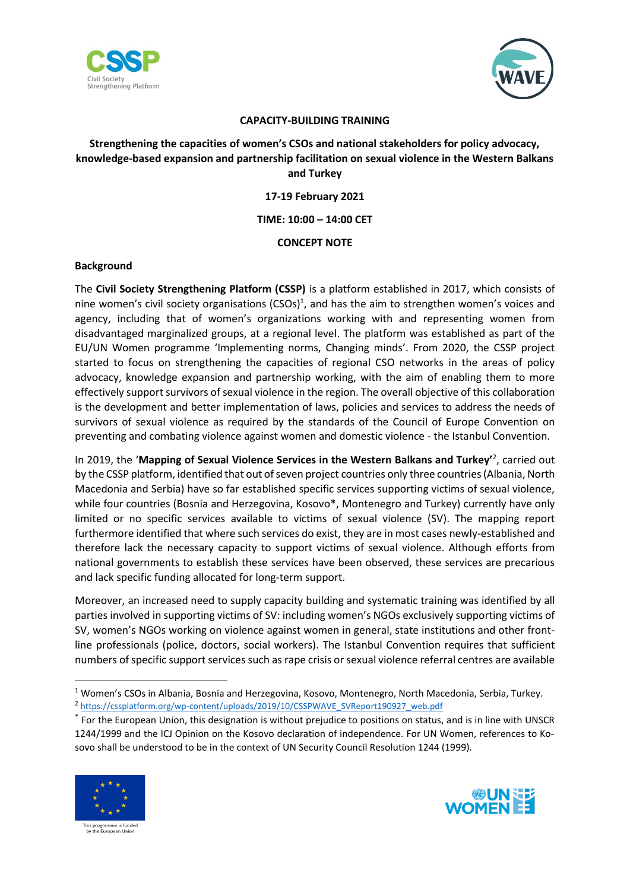



#### **CAPACITY-BUILDING TRAINING**

# **Strengthening the capacities of women's CSOs and national stakeholders for policy advocacy, knowledge-based expansion and partnership facilitation on sexual violence in the Western Balkans and Turkey**

**17-19 February 2021**

**TIME: 10:00 – 14:00 CET**

# **CONCEPT NOTE**

### **Background**

The **Civil Society Strengthening Platform (CSSP)** is a platform established in 2017, which consists of nine women's civil society organisations (CSOs)<sup>1</sup>, and has the aim to strengthen women's voices and agency, including that of women's organizations working with and representing women from disadvantaged marginalized groups, at a regional level. The platform was established as part of the EU/UN Women programme 'Implementing norms, Changing minds'. From 2020, the CSSP project started to focus on strengthening the capacities of regional CSO networks in the areas of policy advocacy, knowledge expansion and partnership working, with the aim of enabling them to more effectively support survivors of sexual violence in the region. The overall objective of this collaboration is the development and better implementation of laws, policies and services to address the needs of survivors of sexual violence as required by the standards of the Council of Europe Convention on preventing and combating violence against women and domestic violence - the Istanbul Convention.

In 2019, the '**Mapping of Sexual Violence Services in the Western Balkans and Turkey'**<sup>2</sup> , carried out by the CSSP platform, identified that out of seven project countries only three countries (Albania, North Macedonia and Serbia) have so far established specific services supporting victims of sexual violence, while four countries (Bosnia and Herzegovina, Kosovo\*, Montenegro and Turkey) currently have only limited or no specific services available to victims of sexual violence (SV). The mapping report furthermore identified that where such services do exist, they are in most cases newly-established and therefore lack the necessary capacity to support victims of sexual violence. Although efforts from national governments to establish these services have been observed, these services are precarious and lack specific funding allocated for long-term support.

Moreover, an increased need to supply capacity building and systematic training was identified by all parties involved in supporting victims of SV: including women's NGOs exclusively supporting victims of SV, women's NGOs working on violence against women in general, state institutions and other frontline professionals (police, doctors, social workers). The Istanbul Convention requires that sufficient numbers of specific support services such as rape crisis or sexual violence referral centres are available

<sup>\*</sup> For the European Union, this designation is without prejudice to positions on status, and is in line with UNSCR 1244/1999 and the ICJ Opinion on the Kosovo declaration of independence. For UN Women, references to Kosovo shall be understood to be in the context of UN Security Council Resolution 1244 (1999).





<sup>1</sup> Women's CSOs in Albania, Bosnia and Herzegovina, Kosovo, Montenegro, North Macedonia, Serbia, Turkey.

<sup>2</sup> [https://cssplatform.org/wp-content/uploads/2019/10/CSSPWAVE\\_SVReport190927\\_web.pdf](https://cssplatform.org/wp-content/uploads/2019/10/CSSPWAVE_SVReport190927_web.pdf)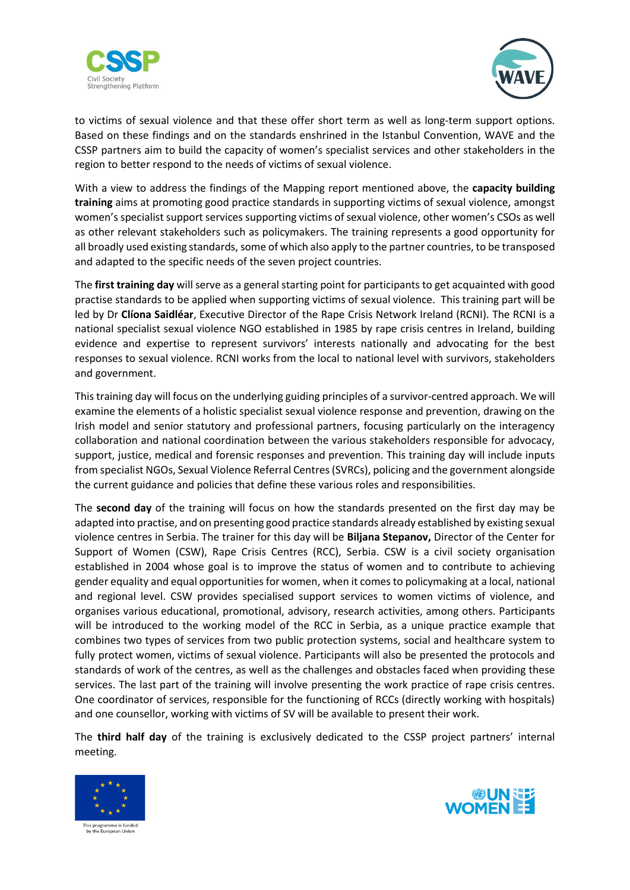



to victims of sexual violence and that these offer short term as well as long-term support options. Based on these findings and on the standards enshrined in the Istanbul Convention, WAVE and the CSSP partners aim to build the capacity of women's specialist services and other stakeholders in the region to better respond to the needs of victims of sexual violence.

With a view to address the findings of the Mapping report mentioned above, the **capacity building training** aims at promoting good practice standards in supporting victims of sexual violence, amongst women's specialist support services supporting victims of sexual violence, other women's CSOs as well as other relevant stakeholders such as policymakers. The training represents a good opportunity for all broadly used existing standards, some of which also apply to the partner countries, to be transposed and adapted to the specific needs of the seven project countries.

The **first training day** will serve as a general starting point for participants to get acquainted with good practise standards to be applied when supporting victims of sexual violence. This training part will be led by Dr **Clíona Saidléar**, Executive Director of the Rape Crisis Network Ireland (RCNI). The RCNI is a national specialist sexual violence NGO established in 1985 by rape crisis centres in Ireland, building evidence and expertise to represent survivors' interests nationally and advocating for the best responses to sexual violence. RCNI works from the local to national level with survivors, stakeholders and government.

This training day will focus on the underlying guiding principles of a survivor-centred approach. We will examine the elements of a holistic specialist sexual violence response and prevention, drawing on the Irish model and senior statutory and professional partners, focusing particularly on the interagency collaboration and national coordination between the various stakeholders responsible for advocacy, support, justice, medical and forensic responses and prevention. This training day will include inputs from specialist NGOs, Sexual Violence Referral Centres (SVRCs), policing and the government alongside the current guidance and policies that define these various roles and responsibilities.

The **second day** of the training will focus on how the standards presented on the first day may be adapted into practise, and on presenting good practice standards already established by existing sexual violence centres in Serbia. The trainer for this day will be **Biljana Stepanov,** Director of the Center for Support of Women (CSW), Rape Crisis Centres (RCC), Serbia. CSW is a civil society organisation established in 2004 whose goal is to improve the status of women and to contribute to achieving gender equality and equal opportunities for women, when it comesto policymaking at a local, national and regional level. CSW provides specialised support services to women victims of violence, and organises various educational, promotional, advisory, research activities, among others. Participants will be introduced to the working model of the RCC in Serbia, as a unique practice example that combines two types of services from two public protection systems, social and healthcare system to fully protect women, victims of sexual violence. Participants will also be presented the protocols and standards of work of the centres, as well as the challenges and obstacles faced when providing these services. The last part of the training will involve presenting the work practice of rape crisis centres. One coordinator of services, responsible for the functioning of RCCs (directly working with hospitals) and one counsellor, working with victims of SV will be available to present their work.

The **third half day** of the training is exclusively dedicated to the CSSP project partners' internal meeting.



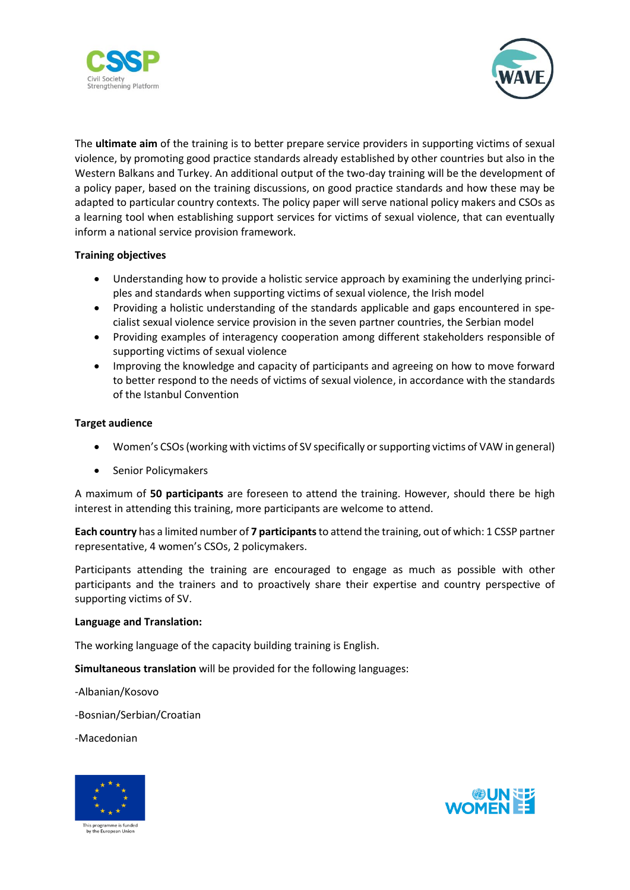



The **ultimate aim** of the training is to better prepare service providers in supporting victims of sexual violence, by promoting good practice standards already established by other countries but also in the Western Balkans and Turkey. An additional output of the two-day training will be the development of a policy paper, based on the training discussions, on good practice standards and how these may be adapted to particular country contexts. The policy paper will serve national policy makers and CSOs as a learning tool when establishing support services for victims of sexual violence, that can eventually inform a national service provision framework.

## **Training objectives**

- Understanding how to provide a holistic service approach by examining the underlying principles and standards when supporting victims of sexual violence, the Irish model
- Providing a holistic understanding of the standards applicable and gaps encountered in specialist sexual violence service provision in the seven partner countries, the Serbian model
- Providing examples of interagency cooperation among different stakeholders responsible of supporting victims of sexual violence
- Improving the knowledge and capacity of participants and agreeing on how to move forward to better respond to the needs of victims of sexual violence, in accordance with the standards of the Istanbul Convention

## **Target audience**

- Women's CSOs (working with victims of SV specifically or supporting victims of VAW in general)
- Senior Policymakers

A maximum of **50 participants** are foreseen to attend the training. However, should there be high interest in attending this training, more participants are welcome to attend.

**Each country** has a limited number of **7 participants**to attend the training, out of which: 1 CSSP partner representative, 4 women's CSOs, 2 policymakers.

Participants attending the training are encouraged to engage as much as possible with other participants and the trainers and to proactively share their expertise and country perspective of supporting victims of SV.

### **Language and Translation:**

The working language of the capacity building training is English.

**Simultaneous translation** will be provided for the following languages:

-Albanian/Kosovo

-Bosnian/Serbian/Croatian

-Macedonian